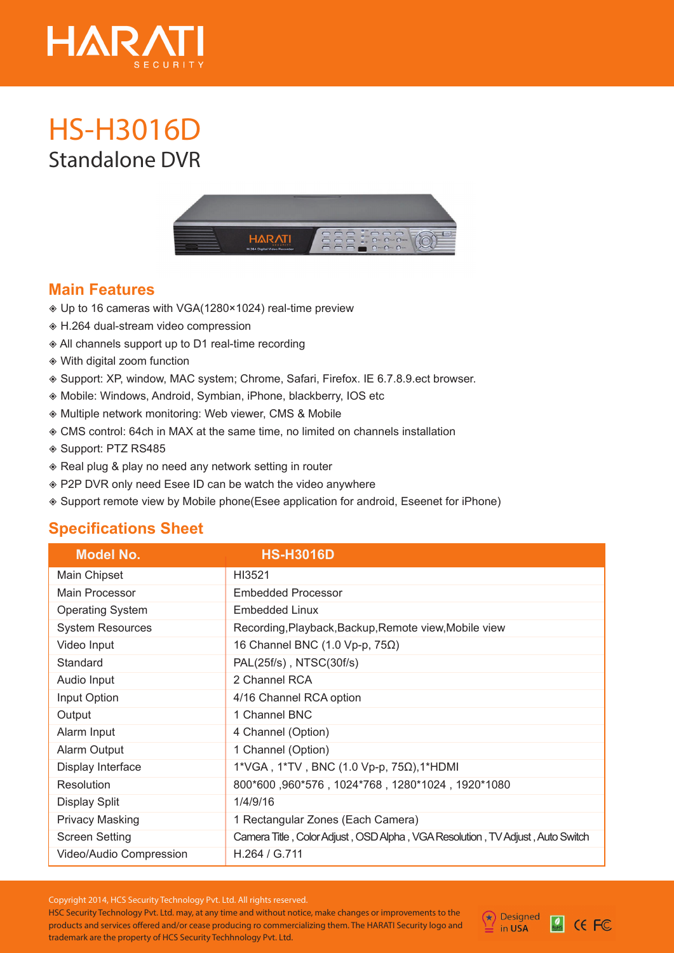

## Standalone DVR **HS-H3016D**



## **Main Features**

- Up to 16 cameras with VGA(1280×1024) real-time preview
- H.264 dual-stream video compression
- All channels support up to D1 real-time recording
- With digital zoom function
- Support: XP, window, MAC system; Chrome, Safari, Firefox. IE 6.7.8.9.ect browser.
- Mobile: Windows, Android, Symbian, iPhone, blackberry, IOS etc
- Multiple network monitoring: Web viewer, CMS & Mobile
- CMS control: 64ch in MAX at the same time, no limited on channels installation
- Support: PTZ RS485
- ◈ Real plug & play no need any network setting in router
- P2P DVR only need Esee ID can be watch the video anywhere
- Support remote view by Mobile phone(Esee application for android, Eseenet for iPhone)

## **Specifications Sheet**

| <b>Model No.</b>        | <b>HS-H3016D</b>                                                              |
|-------------------------|-------------------------------------------------------------------------------|
| Main Chipset            | HI3521                                                                        |
| Main Processor          | <b>Embedded Processor</b>                                                     |
| <b>Operating System</b> | Embedded Linux                                                                |
| <b>System Resources</b> | Recording, Playback, Backup, Remote view, Mobile view                         |
| Video Input             | 16 Channel BNC $(1.0 Vp-p, 75\Omega)$                                         |
| Standard                | PAL(25f/s), NTSC(30f/s)                                                       |
| Audio Input             | 2 Channel RCA                                                                 |
| Input Option            | 4/16 Channel RCA option                                                       |
| Output                  | 1 Channel BNC                                                                 |
| Alarm Input             | 4 Channel (Option)                                                            |
| Alarm Output            | 1 Channel (Option)                                                            |
| Display Interface       | 1*VGA, 1*TV, BNC (1.0 Vp-p, 75Ω),1*HDMI                                       |
| Resolution              | 800*600,960*576,1024*768,1280*1024,1920*1080                                  |
| <b>Display Split</b>    | 1/4/9/16                                                                      |
| <b>Privacy Masking</b>  | 1 Rectangular Zones (Each Camera)                                             |
| <b>Screen Setting</b>   | Camera Title, Color Adjust, OSD Alpha, VGA Resolution, TV Adjust, Auto Switch |
| Video/Audio Compression | H.264 / G.711                                                                 |

Copyright 2014, HCS Security Technology Pvt. Ltd. All rights reserved.

HSC Security Technology Pvt. Ltd. may, at any time and without notice, make changes or improvements to the products and services offered and/or cease producing ro commercializing them. The HARATI Security logo and trademark are the property of HCS Security Techhnology Pvt. Ltd.



Rots CEFC